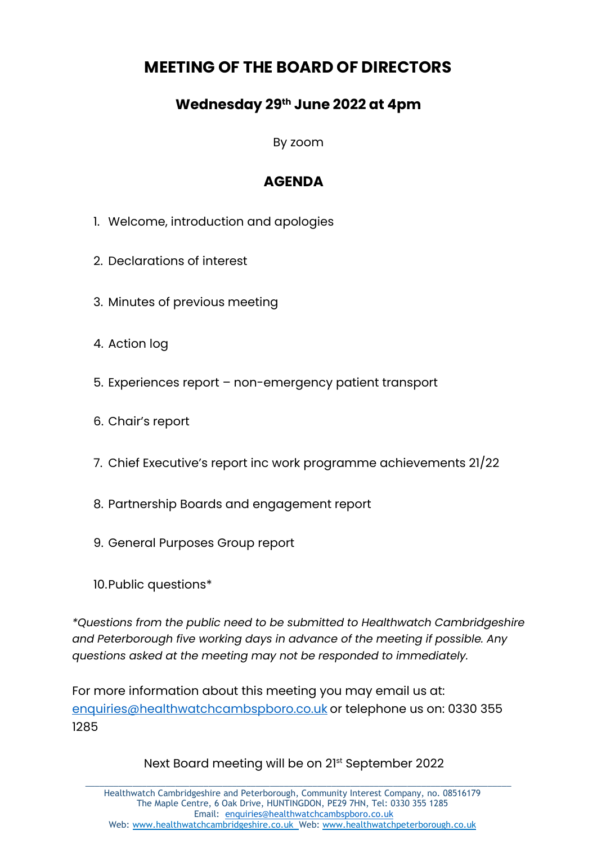## **MEETING OF THE BOARD OF DIRECTORS**

## **Wednesday 29 th June 2022 at 4pm**

By zoom

## **AGENDA**

- 1. Welcome, introduction and apologies
- 2. Declarations of interest
- 3. Minutes of previous meeting
- 4. Action log
- 5. Experiences report non-emergency patient transport
- 6. Chair's report
- 7. Chief Executive's report inc work programme achievements 21/22
- 8. Partnership Boards and engagement report
- 9. General Purposes Group report
- 10.Public questions\*

*\*Questions from the public need to be submitted to Healthwatch Cambridgeshire and Peterborough five working days in advance of the meeting if possible. Any questions asked at the meeting may not be responded to immediately.*

For more information about this meeting you may email us at: [enquiries@healthwatchcambspboro.co.uk](mailto:enquiries@healthwatchcambspboro.co.uk) or telephone us on: 0330 355 1285

Next Board meeting will be on 21 st September 2022

\_\_\_\_\_\_\_\_\_\_\_\_\_\_\_\_\_\_\_\_\_\_\_\_\_\_\_\_\_\_\_\_\_\_\_\_\_\_\_\_\_\_\_\_\_\_\_\_\_\_\_\_\_\_\_\_\_\_\_\_\_\_\_\_\_\_\_\_\_\_\_\_\_\_\_\_\_\_\_\_\_\_\_\_\_\_\_\_\_\_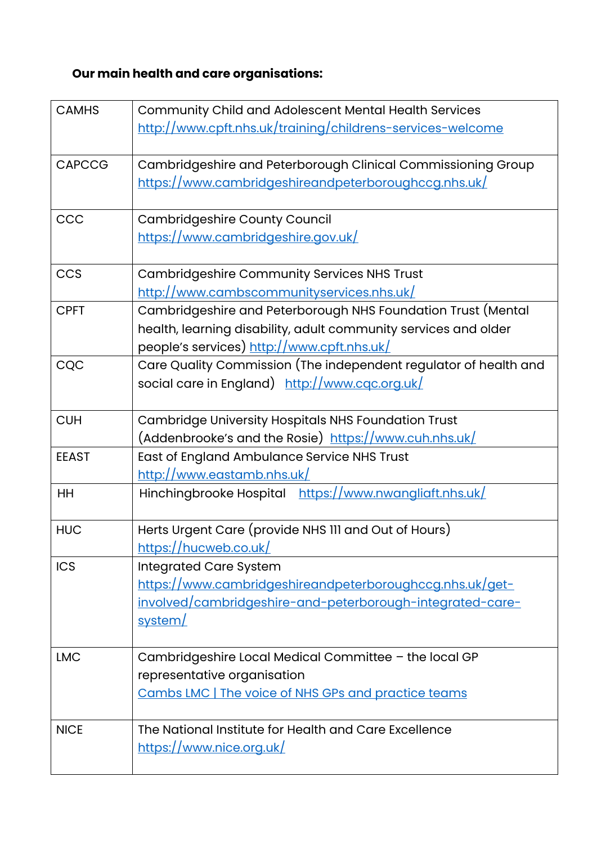## **Our main health and care organisations:**

| <b>CAMHS</b>  | Community Child and Adolescent Mental Health Services            |
|---------------|------------------------------------------------------------------|
|               | http://www.cpft.nhs.uk/training/childrens-services-welcome       |
|               |                                                                  |
| <b>CAPCCG</b> | Cambridgeshire and Peterborough Clinical Commissioning Group     |
|               | https://www.cambridgeshireandpeterboroughccg.nhs.uk/             |
|               |                                                                  |
| CCC           | <b>Cambridgeshire County Council</b>                             |
|               | https://www.cambridgeshire.gov.uk/                               |
|               |                                                                  |
| <b>CCS</b>    | <b>Cambridgeshire Community Services NHS Trust</b>               |
|               | http://www.cambscommunityservices.nhs.uk/                        |
| <b>CPFT</b>   | Cambridgeshire and Peterborough NHS Foundation Trust (Mental     |
|               | health, learning disability, adult community services and older  |
|               | people's services) http://www.cpft.nhs.uk/                       |
| CQC           | Care Quality Commission (The independent regulator of health and |
|               | social care in England) http://www.cqc.org.uk/                   |
|               |                                                                  |
| <b>CUH</b>    | Cambridge University Hospitals NHS Foundation Trust              |
|               | (Addenbrooke's and the Rosie) https://www.cuh.nhs.uk/            |
| <b>EEAST</b>  | East of England Ambulance Service NHS Trust                      |
|               | http://www.eastamb.nhs.uk/                                       |
| HH            | Hinchingbrooke Hospital https://www.nwangliaft.nhs.uk/           |
|               |                                                                  |
| <b>HUC</b>    | Herts Urgent Care (provide NHS III and Out of Hours)             |
|               | https://hucweb.co.uk/                                            |
| <b>ICS</b>    | <b>Integrated Care System</b>                                    |
|               | https://www.cambridgeshireandpeterboroughccg.nhs.uk/get-         |
|               | involved/cambridgeshire-and-peterborough-integrated-care-        |
|               | system/                                                          |
|               |                                                                  |
| <b>LMC</b>    | Cambridgeshire Local Medical Committee - the local GP            |
|               | representative organisation                                      |
|               | Cambs LMC   The voice of NHS GPs and practice teams              |
|               |                                                                  |
| <b>NICE</b>   | The National Institute for Health and Care Excellence            |
|               | https://www.nice.org.uk/                                         |
|               |                                                                  |